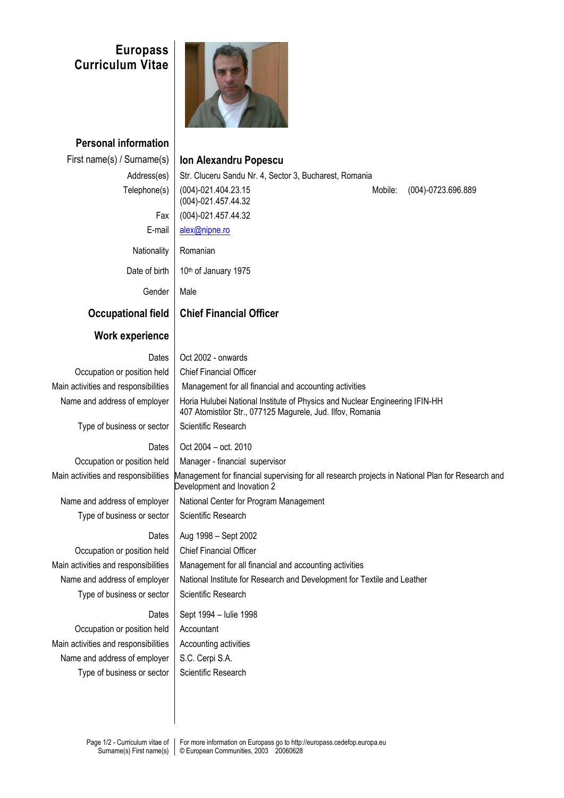## **Europass Curriculum Vitae**



**Personal information** First name(s) / Surname(s) **Ion Alexandru Popescu**

Address(es) Str. Cluceru Sandu Nr. 4, Sector 3, Bucharest, Romania Telephone(s) (004)-021.404.23.15 (004)-021.457.44.32 Mobile: (004)-0723.696.889 Fax (004)-021.457.44.32 E-mail [alex@nipne.ro](mailto:alex@nipne.ro) Nationality | Romanian Date of birth  $\parallel$  10<sup>th</sup> of January 1975 Gender | Male **Occupational field Chief Financial Officer Work experience** Dates | Oct 2002 - onwards Occupation or position held | Chief Financial Officer Main activities and responsibilities | Management for all financial and accounting activities Name and address of employer | Horia Hulubei National Institute of Physics and Nuclear Engineering IFIN-HH 407 Atomistilor Str., 077125 Magurele, Jud. Ilfov, Romania Type of business or sector | Scientific Research Dates  $\vert$  Oct 2004 – oct. 2010 Occupation or position held | Manager - financial supervisor Main activities and responsibilities Management for financial supervising for all research projects in National Plan for Research and Development and Inovation 2 Name and address of employer | National Center for Program Management Type of business or sector  $\parallel$  Scientific Research Dates  $\vert$  Aug 1998 – Sept 2002 Occupation or position held | Chief Financial Officer Main activities and responsibilities  $\parallel$  Management for all financial and accounting activities Name and address of employer | National Institute for Research and Development for Textile and Leather Type of business or sector  $\vert$  Scientific Research Dates  $\vert$  Sept 1994 – Iulie 1998 Occupation or position held | Accountant Main activities and responsibilities  $\parallel$  Accounting activities

Name and address of employer  $\parallel$  S.C. Cerpi S.A. Type of business or sector  $\vert$  Scientific Research